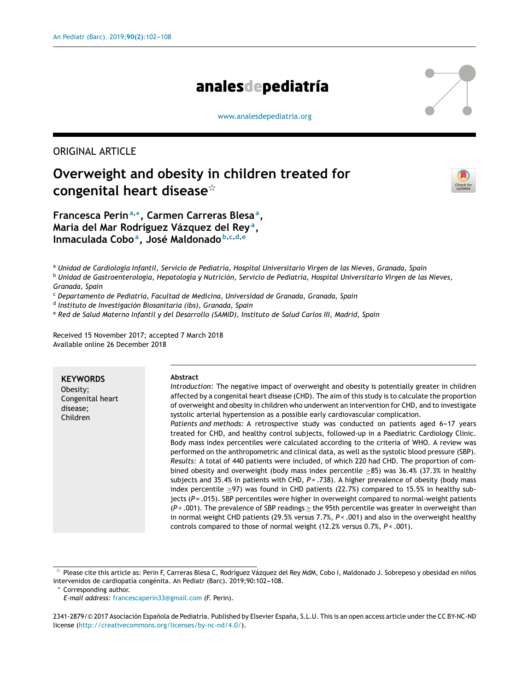# analesdepediatría

[www.analesdepediatria.org](http://www.analesdepediatria.org)

## ORIGINAL ARTICLE

## **Overweight and obesity in children treated for congenital heart disease**-



**Francesca Perin<sup>a</sup>**,<sup>∗</sup> **, Carmen Carreras Blesa<sup>a</sup> , Maria del Mar Rodríguez Vázquez del Rey<sup>a</sup> , Inmaculada Cobo<sup>a</sup> , José Maldonado <sup>b</sup>**,**c**,**d**,**<sup>e</sup>**

<sup>a</sup> *Unidad de Cardiología Infantil, Servicio de Pediatría, Hospital Universitario Virgen de las Nieves, Granada, Spain*

<sup>b</sup> Unidad de Gastroenterología, Hepatología y Nutrición, Servicio de Pediatría, Hospital Universitario Virgen de las Nieves, *Granada, Spain*

<sup>c</sup> *Departamento de Pediatría, Facultad de Medicina, Universidad de Granada, Granada, Spain*

d *Instituto de Investigación Biosanitaria (ibs), Granada, Spain*

<sup>e</sup> *Red de Salud Materno Infantil y del Desarrollo (SAMID), Instituto de Salud Carlos III, Madrid, Spain*

Received 15 November 2017; accepted 7 March 2018 Available online 26 December 2018

**KEYWORDS** Obesity; Congenital heart disease; Children **Abstract** *Introduction:* The negative impact of overweight and obesity is potentially greater in children affected by a congenital heart disease (CHD). The aim of this study is to calculate the proportion of overweight and obesity in children who underwent an intervention for CHD, and to investigate systolic arterial hypertension as a possible early cardiovascular complication. *Patients* and *methods*: A retrospective study was conducted on patients aged 6-17 years treated for CHD, and healthy control subjects, followed-up in a Paediatric Cardiology Clinic. Body mass index percentiles were calculated according to the criteria of WHO. A review was performed on the anthropometric and clinical data, as well as the systolic blood pressure (SBP). *Results:* A total of 440 patients were included, of which 220 had CHD. The proportion of combined obesity and overweight (body mass index percentile  $\geq$ 85) was 36.4% (37.3% in healthy subjects and 35.4% in patients with CHD,  $P = .738$ ). A higher prevalence of obesity (body mass index percentile ≥97) was found in CHD patients (22.7%) compared to 15.5% in healthy subjects (*P* = .015). SBP percentiles were higher in overweight compared to normal-weight patients (*P* < .001). The prevalence of SBP readings ≥ the 95th percentile was greater in overweight than in normal weight CHD patients (29.5% versus 7.7%, *P* < .001) and also in the overweight healthy controls compared to those of normal weight (12.2% versus 0.7%, *P* < .001).

<sup>∗</sup> Corresponding author.

 $\frac{1}{24}$ Please cite this article as: Perin F, Carreras Blesa C, Rodríguez Vázquez del Rey MdM, Cobo I, Maldonado J. Sobrepeso y obesidad en niños intervenidos de cardiopatía congénita. An Pediatr (Barc). 2019;90:102-108.

*E-mail address:* [francescaperin33@gmail.com](mailto:francescaperin33@gmail.com) (F. Perin).

<sup>2341-2879/© 2017</sup> Asociación Española de Pediatría. Published by Elsevier España, S.L.U. This is an open access article under the CC BY-NC-ND license [\(http://creativecommons.org/licenses/by-nc-nd/4.0/\)](http://creativecommons.org/licenses/by-nc-nd/4.0/).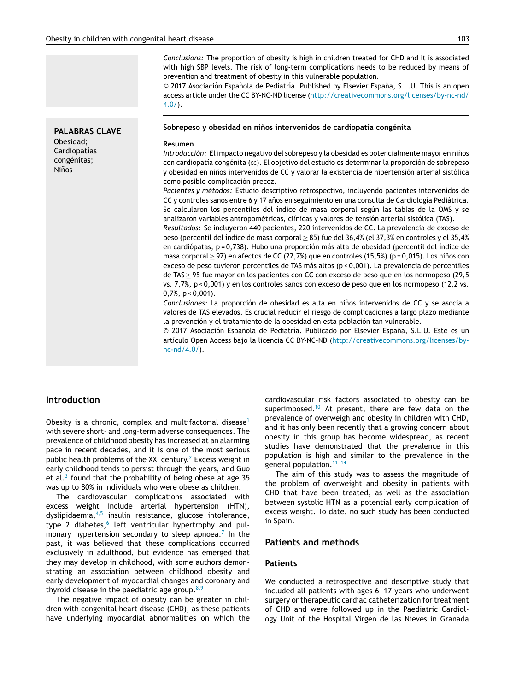**PALABRAS CLAVE**

Obesidad; Cardiopatías congénitas; Niños

*Conclusions:* The proportion of obesity is high in children treated for CHD and it is associated with high SBP levels. The risk of long-term complications needs to be reduced by means of prevention and treatment of obesity in this vulnerable population.

© 2017 Asociación Española de Pediatría. Published by Elsevier España, S.L.U. This is an open access article under the CC BY-NC-ND license ([http://creativecommons.org/licenses/by-nc-nd/](http://creativecommons.org/licenses/by-nc-nd/4.0/)  $4.0/$ ).

#### **Sobrepeso y obesidad en ninos ˜ intervenidos de cardiopatía congénita**

#### **Resumen**

*Introducción:* El impacto negativo del sobrepeso y la obesidad es potencialmente mayor en niños con cardiopatía congénita (CC). El objetivo del estudio es determinar la proporción de sobrepeso y obesidad en niños intervenidos de CC y valorar la existencia de hipertensión arterial sistólica como posible complicación precoz.

*Pacientes y métodos:* Estudio descriptivo retrospectivo, incluyendo pacientes intervenidos de CC y controles sanos entre 6 y 17 años en seguimiento en una consulta de Cardiología Pediátrica. Se calcularon los percentiles del índice de masa corporal según las tablas de la OMS y se analizaron variables antropométricas, clínicas y valores de tensión arterial sistólica (TAS).

*Resultados:* Se incluyeron 440 pacientes, 220 intervenidos de CC. La prevalencia de exceso de peso (percentil del índice de masa corporal ≥ 85) fue del 36,4% (el 37,3% en controles y el 35,4% en cardiópatas, p = 0,738). Hubo una proporción más alta de obesidad (percentil del índice de masa corporal ≥ 97) en afectos de CC (22,7%) que en controles (15,5%) (p = 0,015). Los niños con exceso de peso tuvieron percentiles de TAS más altos (p < 0,001). La prevalencia de percentiles de TAS ≥ 95 fue mayor en los pacientes con CC con exceso de peso que en los normopeso (29,5 vs. 7,7%, p < 0,001) y en los controles sanos con exceso de peso que en los normopeso (12,2 vs.  $0,7\%$ ,  $p < 0,001$ ).

*Conclusiones:* La proporción de obesidad es alta en niños intervenidos de CC y se asocia a valores de TAS elevados. Es crucial reducir el riesgo de complicaciones a largo plazo mediante la prevención y el tratamiento de la obesidad en esta población tan vulnerable.

© 2017 Asociación Española de Pediatría. Publicado por Elsevier España, S.L.U. Este es un artículo Open Access bajo la licencia CC BY-NC-ND [\(http://creativecommons.org/licenses/by](http://creativecommons.org/licenses/by-nc-nd/4.0/)[nc-nd/4.0/](http://creativecommons.org/licenses/by-nc-nd/4.0/)).

## **Introduction**

Obesity is a chronic, complex and multifactorial disease<sup>[1](#page-5-0)</sup> with severe short- and long-term adverse consequences. The prevalence of childhood obesity has increased at an alarming pace in recent decades, and it is one of the most serious public health problems of the XXI century.<sup>[2](#page-5-0)</sup> Excess weight in early childhood tends to persist through the years, and Guo et al. $^3$  $^3$  found that the probability of being obese at age 35 was up to 80% in individuals who were obese as children.

The cardiovascular complications associated with excess weight include arterial hypertension (HTN), dyslipidaemia,[4,5](#page-5-0) insulin resistance, glucose intolerance, type 2 diabetes,<sup>[6](#page-5-0)</sup> left ventricular hypertrophy and pul-monary hypertension secondary to sleep apnoea.<sup>[7](#page-5-0)</sup> In the past, it was believed that these complications occurred exclusively in adulthood, but evidence has emerged that they may develop in childhood, with some authors demonstrating an association between childhood obesity and early development of myocardial changes and coronary and thyroid disease in the paediatric age group. $8,9$ 

The negative impact of obesity can be greater in children with congenital heart disease (CHD), as these patients have underlying myocardial abnormalities on which the cardiovascular risk factors associated to obesity can be superimposed.<sup>[10](#page-6-0)</sup> At present, there are few data on the prevalence of overweigh and obesity in children with CHD, and it has only been recently that a growing concern about obesity in this group has become widespread, as recent studies have demonstrated that the prevalence in this population is high and similar to the prevalence in the general population.  $11-14$ 

The aim of this study was to assess the magnitude of the problem of overweight and obesity in patients with CHD that have been treated, as well as the association between systolic HTN as a potential early complication of excess weight. To date, no such study has been conducted in Spain.

### **Patients and methods**

#### **Patients**

We conducted a retrospective and descriptive study that included all patients with ages 6-17 years who underwent surgery or therapeutic cardiac catheterization for treatment of CHD and were followed up in the Paediatric Cardiology Unit of the Hospital Virgen de las Nieves in Granada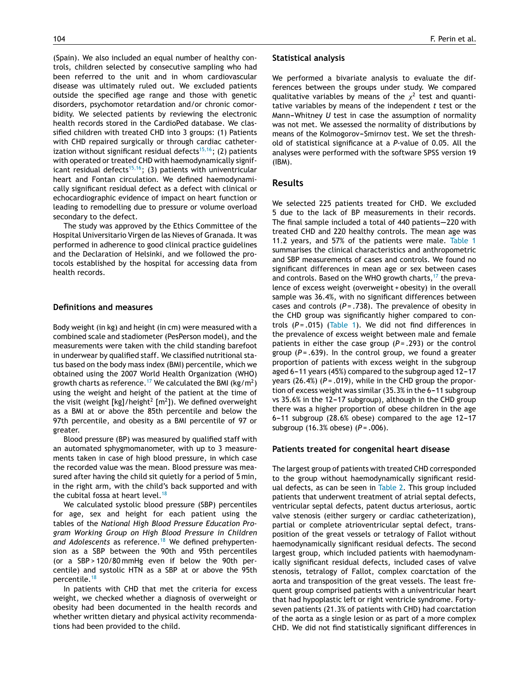(Spain). We also included an equal number of healthy controls, children selected by consecutive sampling who had been referred to the unit and in whom cardiovascular disease was ultimately ruled out. We excluded patients outside the specified age range and those with genetic disorders, psychomotor retardation and/or chronic comorbidity. We selected patients by reviewing the electronic health records stored in the CardioPed database. We classified children with treated CHD into 3 groups: (1) Patients with CHD repaired surgically or through cardiac catheter-ization without significant residual defects<sup>[15,16](#page-6-0)</sup>; (2) patients with operated or treated CHD with haemodynamically signif-icant residual defects<sup>[15,16](#page-6-0)</sup>; (3) patients with univentricular heart and Fontan circulation. We defined haemodynamically significant residual defect as a defect with clinical or echocardiographic evidence of impact on heart function or leading to remodelling due to pressure or volume overload secondary to the defect.

The study was approved by the Ethics Committee of the Hospital Universitario Virgen de las Nieves of Granada. It was performed in adherence to good clinical practice guidelines and the Declaration of Helsinki, and we followed the protocols established by the hospital for accessing data from health records.

#### **Definitions and measures**

Body weight (in kg) and height (in cm) were measured with a combined scale and stadiometer (PesPerson model), and the measurements were taken with the child standing barefoot in underwear by qualified staff. We classified nutritional status based on the body mass index (BMI) percentile, which we obtained using the 2007 World Health Organization (WHO) growth charts as reference. $^{17}$  $^{17}$  $^{17}$  We calculated the BMI (kg/m<sup>2</sup>) using the weight and height of the patient at the time of the visit (weight [kg]/height<sup>2</sup> [m<sup>2</sup>]). We defined overweight as a BMI at or above the 85th percentile and below the 97th percentile, and obesity as a BMI percentile of 97 or greater.

Blood pressure (BP) was measured by qualified staff with an automated sphygmomanometer, with up to 3 measurements taken in case of high blood pressure, in which case the recorded value was the mean. Blood pressure was measured after having the child sit quietly for a period of 5 min, in the right arm, with the child's back supported and with the cubital fossa at heart level. $18$ 

We calculated systolic blood pressure (SBP) percentiles for age, sex and height for each patient using the tables of the *National High Blood Pressure Education Program Working Group on High Blood Pressure in Children and Adolescents* as reference*.* [18](#page-6-0) We defined prehypertension as a SBP between the 90th and 95th percentiles (or a SBP > 120/80 mmHg even if below the 90th percentile) and systolic HTN as a SBP at or above the 95th percentile.[18](#page-6-0)

In patients with CHD that met the criteria for excess weight, we checked whether a diagnosis of overweight or obesity had been documented in the health records and whether written dietary and physical activity recommendations had been provided to the child.

#### **Statistical analysis**

We performed a bivariate analysis to evaluate the differences between the groups under study. We compared qualitative variables by means of the  $\chi^2$  test and quantitative variables by means of the independent *t* test or the Mann-Whitney *U* test in case the assumption of normality was not met. We assessed the normality of distributions by means of the Kolmogorov-Smirnov test. We set the threshold of statistical significance at a *P-*value of 0.05. All the analyses were performed with the software SPSS version 19 (IBM).

#### **Results**

We selected 225 patients treated for CHD. We excluded 5 due to the lack of BP measurements in their records. The final sample included a total of 440 patients-220 with treated CHD and 220 healthy controls. The mean age was 11.2 years, and 57% of the patients were male. [Table](#page-3-0) 1 summarises the clinical characteristics and anthropometric and SBP measurements of cases and controls. We found no significant differences in mean age or sex between cases and controls. Based on the WHO growth charts,  $17$  the prevalence of excess weight (overweight + obesity) in the overall sample was 36.4%, with no significant differences between cases and controls (*P* = *.*738). The prevalence of obesity in the CHD group was significantly higher compared to controls (*P* = *.*015) [\(Table](#page-3-0) 1). We did not find differences in the prevalence of excess weight between male and female patients in either the case group (*P* = *.*293) or the control group (*P* = *.*639). In the control group, we found a greater proportion of patients with excess weight in the subgroup aged  $6-11$  years (45%) compared to the subgroup aged  $12-17$ years (26.4%) (*P* = *.*019), while in the CHD group the proportion of excess weight was similar  $(35.3\%$  in the 6-11 subgroup vs  $35.6\%$  in the 12-17 subgroup), although in the CHD group there was a higher proportion of obese children in the age  $6-11$  subgroup (28.6% obese) compared to the age 12-17 subgroup (16.3% obese) (*P* = *.*006).

#### **Patients treated for congenital heart disease**

The largest group of patients with treated CHD corresponded to the group without haemodynamically significant residual defects, as can be seen in [Table](#page-3-0) 2. This group included patients that underwent treatment of atrial septal defects, ventricular septal defects, patent ductus arteriosus, aortic valve stenosis (either surgery or cardiac catheterization), partial or complete atrioventricular septal defect, transposition of the great vessels or tetralogy of Fallot without haemodynamically significant residual defects. The second largest group, which included patients with haemodynamically significant residual defects, included cases of valve stenosis, tetralogy of Fallot, complex coarctation of the aorta and transposition of the great vessels. The least frequent group comprised patients with a univentricular heart that had hypoplastic left or right ventricle syndrome. Fortyseven patients (21.3% of patients with CHD) had coarctation of the aorta as a single lesion or as part of a more complex CHD. We did not find statistically significant differences in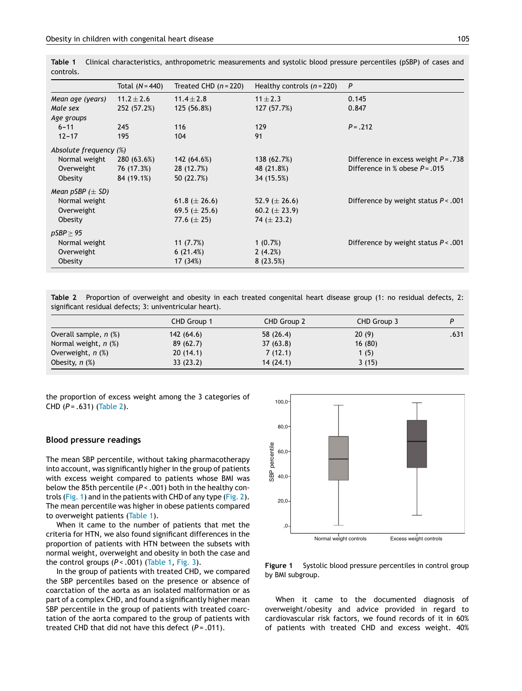| CUITLIULS.             |                   |                         |                              |                                        |  |  |  |
|------------------------|-------------------|-------------------------|------------------------------|----------------------------------------|--|--|--|
|                        | Total $(N = 440)$ | Treated CHD $(n = 220)$ | Healthy controls $(n = 220)$ | P                                      |  |  |  |
| Mean age (years)       | $11.2 \pm 2.6$    | $11.4 \pm 2.8$          | $11 \pm 2.3$                 | 0.145                                  |  |  |  |
| Male sex               | 252 (57.2%)       | 125 (56.8%)             | 127 (57.7%)                  | 0.847                                  |  |  |  |
| Age groups             |                   |                         |                              |                                        |  |  |  |
| $6 - 11$               | 245               | 116                     | 129                          | $P = .212$                             |  |  |  |
| $12 - 17$              | 195               | 104                     | 91                           |                                        |  |  |  |
| Absolute frequency (%) |                   |                         |                              |                                        |  |  |  |
| Normal weight          | 280 (63.6%)       | 142 (64.6%)             | 138 (62.7%)                  | Difference in excess weight $P = .738$ |  |  |  |
| Overweight             | 76 (17.3%)        | 28 (12.7%)              | 48 (21.8%)                   | Difference in % obese $P = .015$       |  |  |  |
| Obesity                | 84 (19.1%)        | 50 (22.7%)              | 34 (15.5%)                   |                                        |  |  |  |
| Mean $pSBP (\pm SD)$   |                   |                         |                              |                                        |  |  |  |
| Normal weight          |                   | 61.8 ( $\pm$ 26.6)      | 52.9 ( $\pm$ 26.6)           | Difference by weight status $P < .001$ |  |  |  |
| Overweight             |                   | 69.5 ( $\pm$ 25.6)      | 60.2 ( $\pm$ 23.9)           |                                        |  |  |  |
| Obesity                |                   | 77.6 $(\pm 25)$         | 74 ( $\pm$ 23.2)             |                                        |  |  |  |
| $pSBP \geq 95$         |                   |                         |                              |                                        |  |  |  |
| Normal weight          |                   | 11 $(7.7%)$             | 1(0.7%)                      | Difference by weight status $P < .001$ |  |  |  |
| Overweight             |                   | 6(21.4%)                | 2(4.2%)                      |                                        |  |  |  |

<span id="page-3-0"></span>**Table 1** Clinical characteristics, anthropometric measurements and systolic blood pressure percentiles (pSBP) of cases and controls.

**Table 2** Proportion of overweight and obesity in each treated congenital heart disease group (1: no residual defects, 2: significant residual defects; 3: univentricular heart).

|                         | CHD Group 1 | CHD Group 2 | CHD Group 3 |      |
|-------------------------|-------------|-------------|-------------|------|
| Overall sample, $n$ (%) | 142 (64.6)  | 58 (26.4)   | 20(9)       | .631 |
| Normal weight, $n$ $%$  | 89(62.7)    | 37(63.8)    | 16(80)      |      |
| Overweight, $n$ $%$ )   | 20(14.1)    | 7(12.1)     | 1(5)        |      |
| Obesity, $n$ $(\%)$     | 33(23.2)    | 14(24.1)    | 3(15)       |      |

the proportion of excess weight among the 3 categories of CHD (*P* = *.*631) (Table 2).

Obesity 17 (34%) 8 (23.5%)

#### **Blood pressure readings**

The mean SBP percentile, without taking pharmacotherapy into account, was significantly higher in the group of patients with excess weight compared to patients whose BMI was below the 85th percentile (*P* < *.*001) both in the healthy controls (Fig. 1) and in the patients with CHD of any type ([Fig.](#page-4-0) 2). The mean percentile was higher in obese patients compared to overweight patients (Table 1).

When it came to the number of patients that met the criteria for HTN, we also found significant differences in the proportion of patients with HTN between the subsets with normal weight, overweight and obesity in both the case and the control groups  $(P < .001)$  (Table 1, [Fig.](#page-4-0) 3).

In the group of patients with treated CHD, we compared the SBP percentiles based on the presence or absence of coarctation of the aorta as an isolated malformation or as part of a complex CHD, and found a significantly higher mean SBP percentile in the group of patients with treated coarctation of the aorta compared to the group of patients with treated CHD that did not have this defect (*P* = *.*011).



**Figure 1** Systolic blood pressure percentiles in control group by BMI subgroup.

When it came to the documented diagnosis of overweight/obesity and advice provided in regard to cardiovascular risk factors, we found records of it in 60% of patients with treated CHD and excess weight. 40%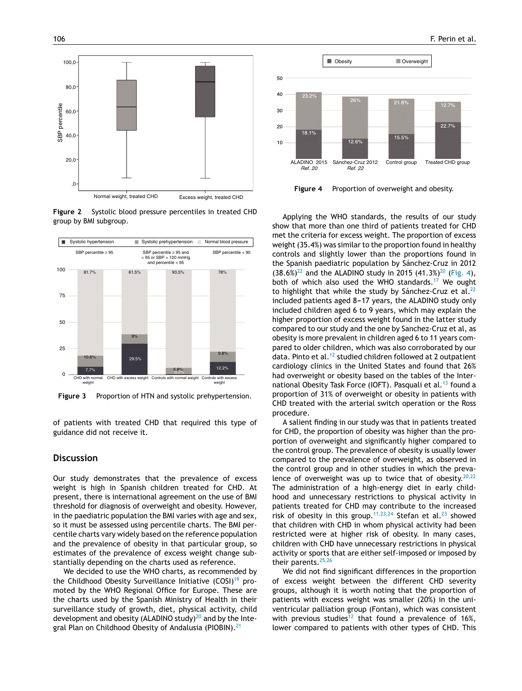<span id="page-4-0"></span>

**Figure 2** Systolic blood pressure percentiles in treated CHD group by BMI subgroup.



**Figure 3** Proportion of HTN and systolic prehypertension.

of patients with treated CHD that required this type of guidance did not receive it.

### **Discussion**

Our study demonstrates that the prevalence of excess weight is high in Spanish children treated for CHD. At present, there is international agreement on the use of BMI threshold for diagnosis of overweight and obesity. However, in the paediatric population the BMI varies with age and sex, so it must be assessed using percentile charts. The BMI percentile charts vary widely based on the reference population and the prevalence of obesity in that particular group, so estimates of the prevalence of excess weight change substantially depending on the charts used as reference.

We decided to use the WHO charts, as recommended by the Childhood Obesity Surveillance Initiative  $(COSI)^{19}$  $(COSI)^{19}$  $(COSI)^{19}$  promoted by the WHO Regional Office for Europe. These are the charts used by the Spanish Ministry of Health in their surveillance study of growth, diet, physical activity, child development and obesity (ALADINO study) $^{20}$  $^{20}$  $^{20}$  and by the Inte-gral Plan on Childhood Obesity of Andalusia (PIOBIN).<sup>[21](#page-6-0)</sup>



**Figure 4** Proportion of overweight and obesity.

Applying the WHO standards, the results of our study show that more than one third of patients treated for CHD met the criteria for excess weight. The proportion of excess weight (35.4%) was similar to the proportion found in healthy controls and slightly lower than the proportions found in the Spanish paediatric population by Sánchez-Cruz in 2012  $(38.6\%)^{22}$  $(38.6\%)^{22}$  $(38.6\%)^{22}$  and the ALADINO study in [20](#page-6-0)15  $(41.3\%)^{20}$  (Fig. 4), both of which also used the WHO standards.<sup>[17](#page-6-0)</sup> We ought to highlight that while the study by Sánchez-Cruz et al. $^{22}$  $^{22}$  $^{22}$ included patients aged  $8-17$  years, the ALADINO study only included children aged 6 to 9 years, which may explain the higher proportion of excess weight found in the latter study compared to our study and the one by Sanchez-Cruz et al, as obesity is more prevalent in children aged 6 to 11 years compared to older children, which was also corroborated by our data. Pinto et al.<sup>[12](#page-6-0)</sup> studied children followed at 2 outpatient cardiology clinics in the United States and found that 26% had overweight or obesity based on the tables of the Inter-national Obesity Task Force (IOFT). Pasquali et al.<sup>[13](#page-6-0)</sup> found a proportion of 31% of overweight or obesity in patients with CHD treated with the arterial switch operation or the Ross procedure.

A salient finding in our study was that in patients treated for CHD, the proportion of obesity was higher than the proportion of overweight and significantly higher compared to the control group. The prevalence of obesity is usually lower compared to the prevalence of overweight, as observed in the control group and in other studies in which the prevalence of overweight was up to twice that of obesity.  $20,22$ The administration of a high-energy diet in early childhood and unnecessary restrictions to physical activity in patients treated for CHD may contribute to the increased risk of obesity in this group.<sup>[11,23,24](#page-6-0)</sup> Stefan et al.<sup>[23](#page-6-0)</sup> showed that children with CHD in whom physical activity had been restricted were at higher risk of obesity. In many cases, children with CHD have unnecessary restrictions in physical activity or sports that are either self-imposed or imposed by their parents.<sup>[25,26](#page-6-0)</sup>

We did not find significant differences in the proportion of excess weight between the different CHD severity groups, although it is worth noting that the proportion of patients with excess weight was smaller (20%) in the univentricular palliation group (Fontan), which was consistent with previous studies<sup>[12](#page-6-0)</sup> that found a prevalence of 16%, lower compared to patients with other types of CHD. This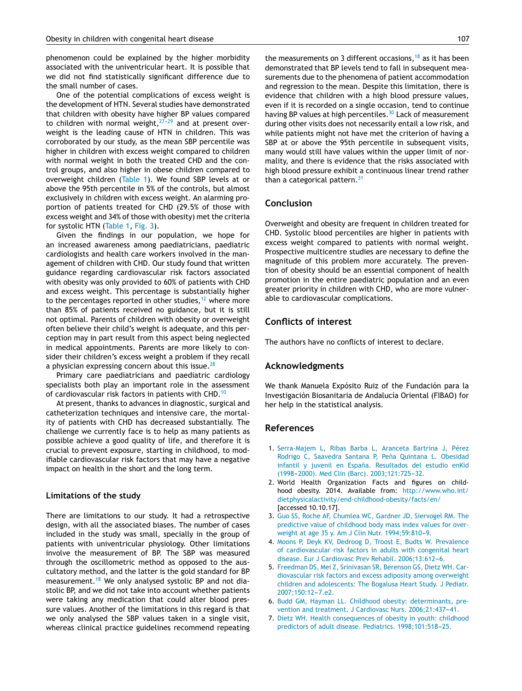<span id="page-5-0"></span>phenomenon could be explained by the higher morbidity associated with the univentricular heart. It is possible that we did not find statistically significant difference due to the small number of cases.

One of the potential complications of excess weight is the development of HTN. Several studies have demonstrated that children with obesity have higher BP values compared to children with normal weight, $27-29$  and at present overweight is the leading cause of HTN in children. This was corroborated by our study, as the mean SBP percentile was higher in children with excess weight compared to children with normal weight in both the treated CHD and the control groups, and also higher in obese children compared to overweight children [\(Table](#page-3-0) 1). We found SBP levels at or above the 95th percentile in 5% of the controls, but almost exclusively in children with excess weight. An alarming proportion of patients treated for CHD (29.5% of those with excess weight and 34% of those with obesity) met the criteria for systolic HTN ([Table](#page-3-0) 1, [Fig.](#page-4-0) 3).

Given the findings in our population, we hope for an increased awareness among paediatricians, paediatric cardiologists and health care workers involved in the management of children with CHD. Our study found that written guidance regarding cardiovascular risk factors associated with obesity was only provided to 60% of patients with CHD and excess weight. This percentage is substantially higher to the percentages reported in other studies,  $12$  where more than 85% of patients received no guidance, but it is still not optimal. Parents of children with obesity or overweight often believe their child's weight is adequate, and this perception may in part result from this aspect being neglected in medical appointments. Parents are more likely to consider their children's excess weight a problem if they recall a physician expressing concern about this issue. $^{28}$  $^{28}$  $^{28}$ 

Primary care paediatricians and paediatric cardiology specialists both play an important role in the assessment of cardiovascular risk factors in patients with CHD.[10](#page-6-0)

At present, thanks to advances in diagnostic, surgical and catheterization techniques and intensive care, the mortality of patients with CHD has decreased substantially. The challenge we currently face is to help as many patients as possible achieve a good quality of life, and therefore it is crucial to prevent exposure, starting in childhood, to modifiable cardiovascular risk factors that may have a negative impact on health in the short and the long term.

#### **Limitations of the study**

There are limitations to our study. It had a retrospective design, with all the associated biases. The number of cases included in the study was small, specially in the group of patients with univentricular physiology. Other limitations involve the measurement of BP. The SBP was measured through the oscillometric method as opposed to the auscultatory method, and the latter is the gold standard for BP measurement.<sup>[18](#page-6-0)</sup> We only analysed systolic BP and not diastolic BP, and we did not take into account whether patients were taking any medication that could alter blood pressure values. Another of the limitations in this regard is that we only analysed the SBP values taken in a single visit, whereas clinical practice guidelines recommend repeating the measurements on 3 different occasions,  $18$  as it has been demonstrated that BP levels tend to fall in subsequent measurements due to the phenomena of patient accommodation and regression to the mean. Despite this limitation, there is evidence that children with a high blood pressure values, even if it is recorded on a single occasion, tend to continue having BP values at high percentiles.<sup>[30](#page-6-0)</sup> Lack of measurement during other visits does not necessarily entail a low risk, and while patients might not have met the criterion of having a SBP at or above the 95th percentile in subsequent visits, many would still have values within the upper limit of normality, and there is evidence that the risks associated with high blood pressure exhibit a continuous linear trend rather than a categorical pattern. $31$ 

### **Conclusion**

Overweight and obesity are frequent in children treated for CHD. Systolic blood percentiles are higher in patients with excess weight compared to patients with normal weight. Prospective multicentre studies are necessary to define the magnitude of this problem more accurately. The prevention of obesity should be an essential component of health promotion in the entire paediatric population and an even greater priority in children with CHD, who are more vulnerable to cardiovascular complications.

#### **Conflicts of interest**

The authors have no conflicts of interest to declare.

#### **Acknowledgments**

We thank Manuela Expósito Ruiz of the Fundación para la Investigación Biosanitaria de Andalucía Oriental (FIBAO) for her help in the statistical analysis.

#### **References**

- 1. Serra-Majem L, Ribas Barba L, Aranceta Bartrina J, Pérez Rodrigo C, Saavedra Santana P, Peña Quintana L. Obesidad infantil y juvenil en España. Resultados del estudio enKid (1998-2000). Med Clin (Barc). 2003;121:725-32.
- 2. World Health Organization Facts and figures on childhood obesity. 2014. Available from: [http://www.who.int/](http://www.who.int/dietphysicalactivity/end-childhood-obesity/facts/en/) [dietphysicalactivity/end-childhood-obesity/facts/en/](http://www.who.int/dietphysicalactivity/end-childhood-obesity/facts/en/) [accessed 10.10.17].
- 3. Guo SS, Roche AF, Chumlea WC, Gardner JD, Siervogel RM. The predictive value of childhood body mass index values for overweight at age 35 y. Am J Clin Nutr. 1994;59:810-9.
- 4. Moons P, Deyk KV, Dedroog D, Troost E, Budts W. Prevalence of cardiovascular risk factors in adults with congenital heart disease. Eur J Cardiovasc Prev Rehabil. 2006;13:612-6.
- 5. Freedman DS, Mei Z, Srinivasan SR, Berenson GS, Dietz WH. Cardiovascular risk factors and excess adiposity among overweight children and adolescents: The Bogalusa Heart Study. J Pediatr. 2007;150:12-7.e2.
- 6. Budd GM, Hayman LL. Childhood obesity: determinants, prevention and treatment. J Cardiovasc Nurs. 2006;21:437-41.
- 7. Dietz WH. Health consequences of obesity in youth: childhood predictors of adult disease. Pediatrics. 1998;101:518-25.